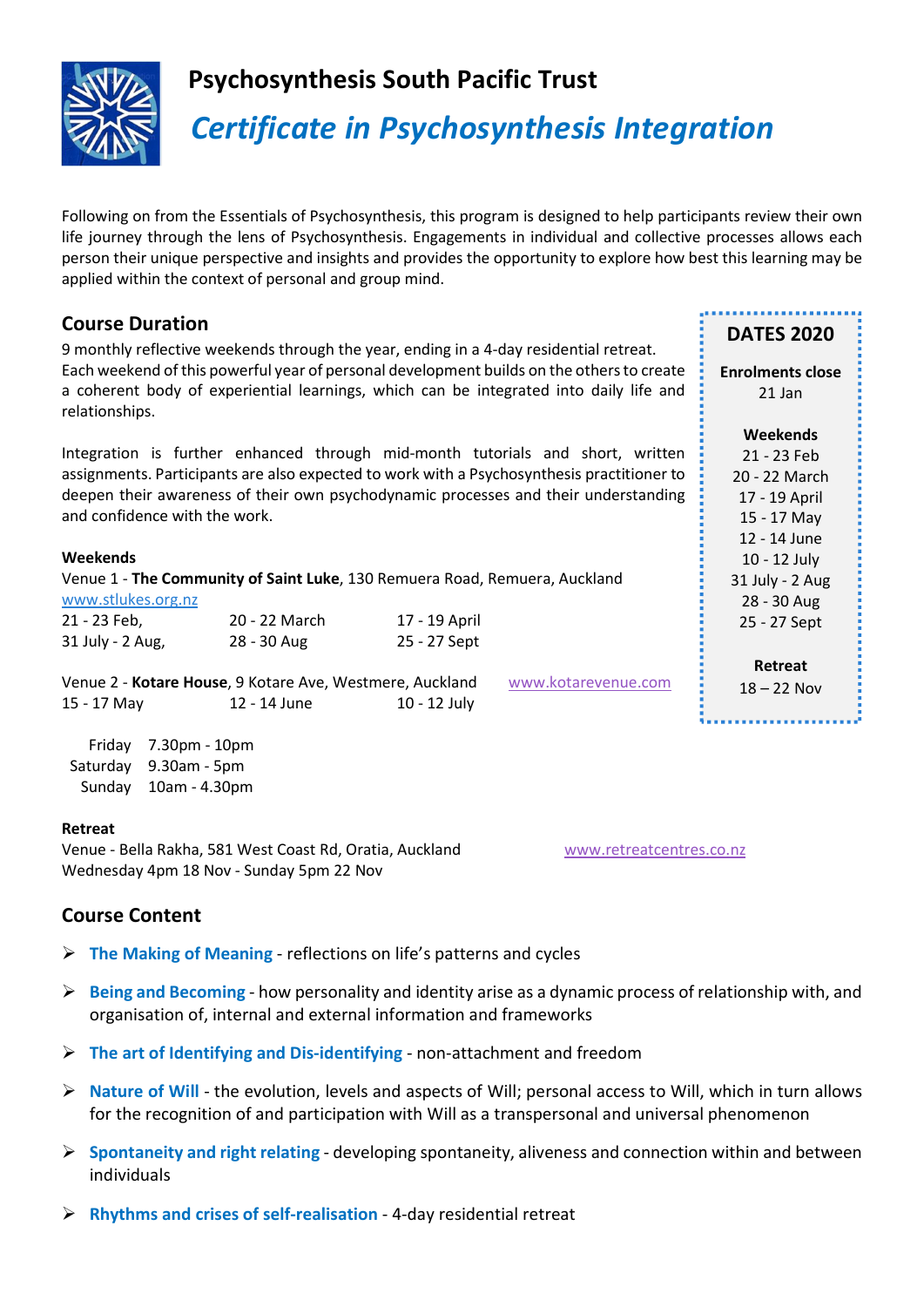

## Psychosynthesis South Pacific Trust

# Certificate in Psychosynthesis Integration

Following on from the Essentials of Psychosynthesis, this program is designed to help participants review their own life journey through the lens of Psychosynthesis. Engagements in individual and collective processes allows each person their unique perspective and insights and provides the opportunity to explore how best this learning may be applied within the context of personal and group mind.

## Course Duration

9 monthly reflective weekends through the year, ending in a 4-day residential retreat. Each weekend of this powerful year of personal development builds on the others to create a coherent body of experiential learnings, which can be integrated into daily life and relationships.

Integration is further enhanced through mid-month tutorials and short, written assignments. Participants are also expected to work with a Psychosynthesis practitioner to deepen their awareness of their own psychodynamic processes and their understanding and confidence with the work.

#### Weekends

Venue 1 - The Community of Saint Luke, 130 Remuera Road, Remuera, Auckland www.stlukes.org.nz

| 21 - 23 Feb,     | 20 - 22 March | 17 - 19 April |  |
|------------------|---------------|---------------|--|
| 31 July - 2 Aug, | 28 - 30 Aug   | 25 - 27 Sept  |  |

Venue 2 - Kotare House, 9 Kotare Ave, Westmere, Auckland www.kotarevenue.com 15 - 17 May 12 - 14 June 10 - 12 July

| Friday   | 7.30pm - 10pm |
|----------|---------------|
| Saturday | 9.30am - 5pm  |
| Sunday   | 10am - 4.30pm |

#### Retreat

Venue - Bella Rakha, 581 West Coast Rd, Oratia, Auckland www.retreatcentres.co.nz Wednesday 4pm 18 Nov - Sunday 5pm 22 Nov

DATES 2020

Enrolments close 21 Jan

Weekends 21 - 23 Feb 20 - 22 March 17 - 19 April 15 - 17 May 12 - 14 June 10 - 12 July 31 July - 2 Aug 28 - 30 Aug 25 - 27 Sept

Retreat 18 – 22 Nov

## Course Content

- $\triangleright$  The Making of Meaning reflections on life's patterns and cycles
- $\triangleright$  Being and Becoming how personality and identity arise as a dynamic process of relationship with, and organisation of, internal and external information and frameworks
- $\triangleright$  The art of Identifying and Dis-identifying non-attachment and freedom
- $\triangleright$  Nature of Will the evolution, levels and aspects of Will; personal access to Will, which in turn allows for the recognition of and participation with Will as a transpersonal and universal phenomenon
- $\triangleright$  Spontaneity and right relating developing spontaneity, aliveness and connection within and between individuals
- $\triangleright$  Rhythms and crises of self-realisation 4-day residential retreat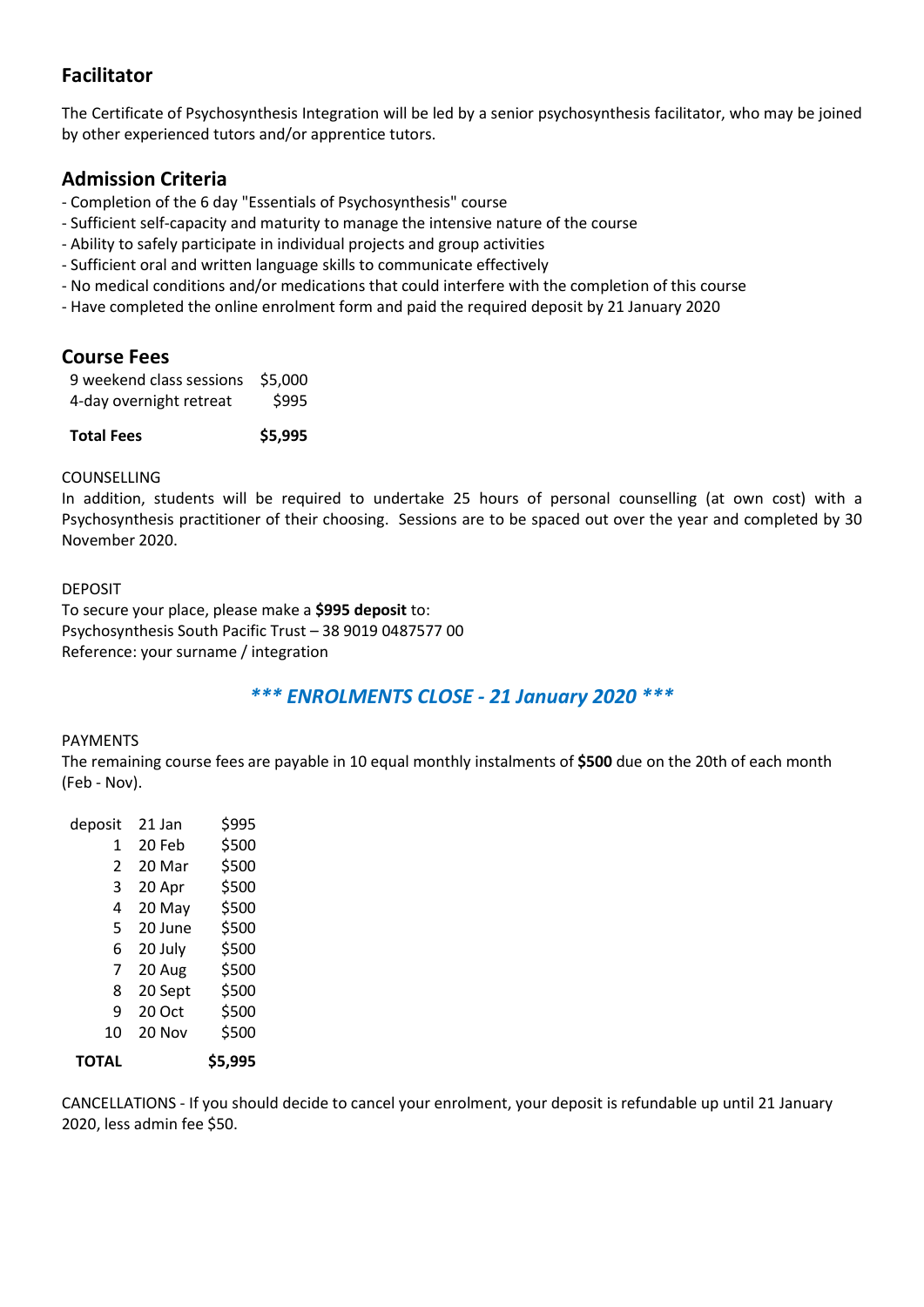## Facilitator

The Certificate of Psychosynthesis Integration will be led by a senior psychosynthesis facilitator, who may be joined by other experienced tutors and/or apprentice tutors.

## Admission Criteria

- Completion of the 6 day "Essentials of Psychosynthesis" course
- Sufficient self-capacity and maturity to manage the intensive nature of the course
- Ability to safely participate in individual projects and group activities
- Sufficient oral and written language skills to communicate effectively
- No medical conditions and/or medications that could interfere with the completion of this course
- Have completed the online enrolment form and paid the required deposit by 21 January 2020

### Course Fees

| Total Fees               | \$5,995 |
|--------------------------|---------|
| 4-day overnight retreat  | \$995   |
| 9 weekend class sessions | \$5,000 |

#### COUNSELLING

In addition, students will be required to undertake 25 hours of personal counselling (at own cost) with a Psychosynthesis practitioner of their choosing. Sessions are to be spaced out over the year and completed by 30 November 2020.

#### DEPOSIT To secure your place, please make a \$995 deposit to: Psychosynthesis South Pacific Trust – 38 9019 0487577 00 Reference: your surname / integration

## \*\*\* ENROLMENTS CLOSE - 21 January 2020 \*\*\*

#### PAYMENTS

The remaining course fees are payable in 10 equal monthly instalments of \$500 due on the 20th of each month (Feb - Nov).

| deposit                  | 21 Jan  | \$995   |
|--------------------------|---------|---------|
| 1                        | 20 Feb  | \$500   |
| $\overline{\mathcal{L}}$ | 20 Mar  | \$500   |
| 3                        | 20 Apr  | \$500   |
| 4                        | 20 May  | \$500   |
| 5                        | 20 June | \$500   |
| 6                        | 20 July | \$500   |
| 7                        | 20 Aug  | \$500   |
| 8                        | 20 Sept | \$500   |
| 9                        | 20 Oct  | \$500   |
| 10                       | 20 Nov  | \$500   |
| ΤΟΤΑL                    |         | \$5,995 |

CANCELLATIONS - If you should decide to cancel your enrolment, your deposit is refundable up until 21 January 2020, less admin fee \$50.